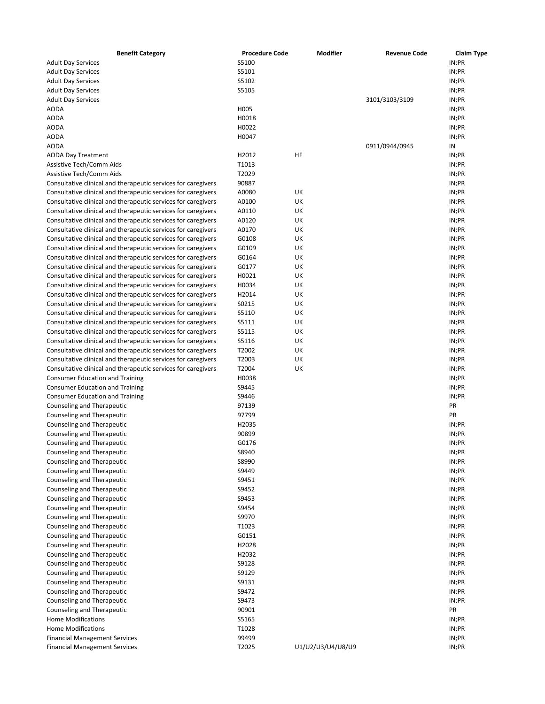| <b>Benefit Category</b>                                       | <b>Procedure Code</b> | <b>Modifier</b>   | <b>Revenue Code</b> | <b>Claim Type</b> |
|---------------------------------------------------------------|-----------------------|-------------------|---------------------|-------------------|
| <b>Adult Day Services</b>                                     | S5100                 |                   |                     | IN;PR             |
| <b>Adult Day Services</b>                                     | S5101                 |                   |                     | IN;PR             |
| <b>Adult Day Services</b>                                     | S5102                 |                   |                     | IN;PR             |
| <b>Adult Day Services</b>                                     | S5105                 |                   |                     | IN;PR             |
| <b>Adult Day Services</b>                                     |                       |                   | 3101/3103/3109      | IN;PR             |
| <b>AODA</b>                                                   | H005                  |                   |                     | IN;PR             |
| <b>AODA</b>                                                   | H0018                 |                   |                     | IN;PR             |
| <b>AODA</b>                                                   | H0022                 |                   |                     | IN;PR             |
| <b>AODA</b>                                                   | H0047                 |                   |                     | IN;PR             |
| <b>AODA</b>                                                   |                       |                   | 0911/0944/0945      | IN                |
| <b>AODA Day Treatment</b>                                     | H2012                 | HF                |                     | IN;PR             |
| <b>Assistive Tech/Comm Aids</b>                               | T1013                 |                   |                     | IN;PR             |
| Assistive Tech/Comm Aids                                      | T2029                 |                   |                     | IN;PR             |
| Consultative clinical and therapeutic services for caregivers | 90887                 |                   |                     | IN;PR             |
| Consultative clinical and therapeutic services for caregivers | A0080                 | UK                |                     | IN;PR             |
| Consultative clinical and therapeutic services for caregivers | A0100                 | UK                |                     | IN;PR             |
| Consultative clinical and therapeutic services for caregivers | A0110                 | UK                |                     | IN;PR             |
| Consultative clinical and therapeutic services for caregivers | A0120                 | UK                |                     | IN;PR             |
| Consultative clinical and therapeutic services for caregivers | A0170                 | UK                |                     | IN;PR             |
| Consultative clinical and therapeutic services for caregivers | G0108                 | UK                |                     | IN;PR             |
| Consultative clinical and therapeutic services for caregivers | G0109                 | UK                |                     | IN;PR             |
| Consultative clinical and therapeutic services for caregivers | G0164                 | UK                |                     | IN;PR             |
| Consultative clinical and therapeutic services for caregivers | G0177                 | UK                |                     | IN;PR             |
| Consultative clinical and therapeutic services for caregivers | H0021                 | UK                |                     | IN;PR             |
| Consultative clinical and therapeutic services for caregivers | H0034                 | UK                |                     | IN;PR             |
| Consultative clinical and therapeutic services for caregivers | H2014                 | UK                |                     | IN;PR             |
| Consultative clinical and therapeutic services for caregivers | S0215                 | UK                |                     | IN;PR             |
| Consultative clinical and therapeutic services for caregivers | S5110                 | UK                |                     | IN;PR             |
| Consultative clinical and therapeutic services for caregivers | S5111                 | UK                |                     | IN;PR             |
| Consultative clinical and therapeutic services for caregivers | S5115                 | UK                |                     | IN;PR             |
| Consultative clinical and therapeutic services for caregivers | S5116                 | UK                |                     | IN;PR             |
| Consultative clinical and therapeutic services for caregivers | T2002                 | UK                |                     | IN;PR             |
| Consultative clinical and therapeutic services for caregivers | T2003                 | UK                |                     | IN;PR             |
| Consultative clinical and therapeutic services for caregivers | T2004                 | UK                |                     | IN;PR             |
| <b>Consumer Education and Training</b>                        | H0038                 |                   |                     | IN;PR             |
| <b>Consumer Education and Training</b>                        | S9445                 |                   |                     | IN;PR             |
| <b>Consumer Education and Training</b>                        | S9446                 |                   |                     | IN;PR             |
| Counseling and Therapeutic                                    | 97139                 |                   |                     | PR                |
| Counseling and Therapeutic                                    | 97799                 |                   |                     | PR                |
| Counseling and Therapeutic                                    | H2035                 |                   |                     | IN;PR             |
| Counseling and Therapeutic                                    | 90899                 |                   |                     | IN;PR             |
| Counseling and Therapeutic                                    | G0176<br>S8940        |                   |                     | IN;PR<br>IN;PR    |
| Counseling and Therapeutic                                    | S8990                 |                   |                     | IN;PR             |
| Counseling and Therapeutic<br>Counseling and Therapeutic      | S9449                 |                   |                     | IN;PR             |
| Counseling and Therapeutic                                    | S9451                 |                   |                     | IN;PR             |
| Counseling and Therapeutic                                    | S9452                 |                   |                     | IN;PR             |
| Counseling and Therapeutic                                    | S9453                 |                   |                     | IN;PR             |
| Counseling and Therapeutic                                    | S9454                 |                   |                     | IN;PR             |
| Counseling and Therapeutic                                    | S9970                 |                   |                     | IN;PR             |
| Counseling and Therapeutic                                    | T1023                 |                   |                     | IN;PR             |
| Counseling and Therapeutic                                    | G0151                 |                   |                     | IN;PR             |
| Counseling and Therapeutic                                    | H2028                 |                   |                     | IN;PR             |
| Counseling and Therapeutic                                    | H2032                 |                   |                     | IN;PR             |
| Counseling and Therapeutic                                    | S9128                 |                   |                     | IN;PR             |
| Counseling and Therapeutic                                    | S9129                 |                   |                     | IN;PR             |
| Counseling and Therapeutic                                    | S9131                 |                   |                     | IN;PR             |
| Counseling and Therapeutic                                    | S9472                 |                   |                     | IN;PR             |
| Counseling and Therapeutic                                    | S9473                 |                   |                     | IN;PR             |
| Counseling and Therapeutic                                    | 90901                 |                   |                     | PR                |
| <b>Home Modifications</b>                                     | S5165                 |                   |                     | IN;PR             |
| <b>Home Modifications</b>                                     | T1028                 |                   |                     | IN;PR             |
| <b>Financial Management Services</b>                          | 99499                 |                   |                     | IN;PR             |
| <b>Financial Management Services</b>                          | T2025                 | U1/U2/U3/U4/U8/U9 |                     | IN;PR             |
|                                                               |                       |                   |                     |                   |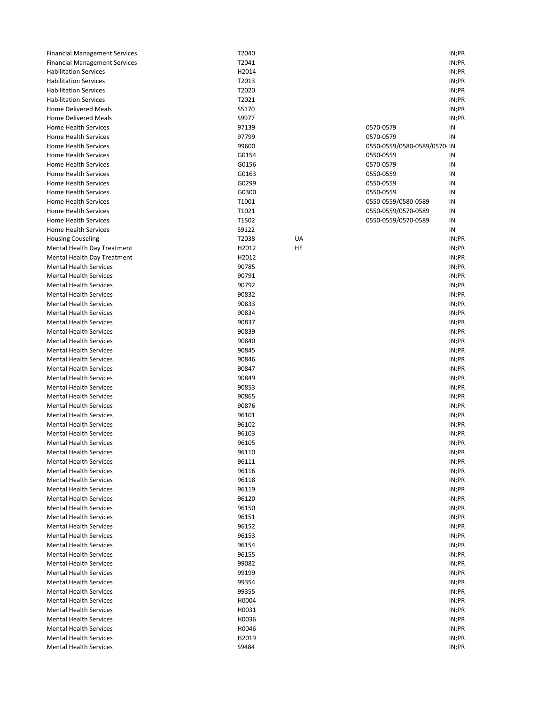| <b>Financial Management Services</b>                           | T2040          |    |                             | IN;PR          |
|----------------------------------------------------------------|----------------|----|-----------------------------|----------------|
| <b>Financial Management Services</b>                           | T2041          |    |                             | IN;PR          |
| <b>Habilitation Services</b>                                   | H2014          |    |                             | IN;PR          |
| <b>Habilitation Services</b>                                   | T2013          |    |                             | IN;PR          |
| <b>Habilitation Services</b>                                   | T2020          |    |                             | IN;PR          |
| <b>Habilitation Services</b>                                   | T2021          |    |                             | IN;PR          |
| <b>Home Delivered Meals</b>                                    | S5170          |    |                             | IN;PR          |
| <b>Home Delivered Meals</b>                                    | S9977          |    |                             | IN;PR          |
| Home Health Services                                           | 97139          |    | 0570-0579                   | IN             |
| <b>Home Health Services</b>                                    | 97799          |    | 0570-0579                   | IN             |
| Home Health Services                                           | 99600          |    | 0550-0559/0580-0589/0570-IN |                |
| Home Health Services                                           | G0154          |    | 0550-0559                   | IN             |
| Home Health Services                                           | G0156          |    | 0570-0579                   | IN             |
| Home Health Services                                           | G0163          |    | 0550-0559                   | IN             |
| Home Health Services                                           | G0299          |    | 0550-0559                   | IN             |
| Home Health Services                                           | G0300          |    | 0550-0559                   | IN             |
| Home Health Services                                           | T1001          |    | 0550-0559/0580-0589         | IN             |
| Home Health Services                                           | T1021          |    | 0550-0559/0570-0589         | IN             |
| Home Health Services                                           | T1502          |    | 0550-0559/0570-0589         | IN             |
| <b>Home Health Services</b>                                    | S9122          |    |                             | IN             |
| <b>Housing Couseling</b>                                       | T2038          | UA |                             | IN;PR          |
| Mental Health Day Treatment                                    | H2012          | HE |                             | IN;PR          |
| Mental Health Day Treatment                                    | H2012          |    |                             | IN;PR          |
| <b>Mental Health Services</b>                                  | 90785          |    |                             | IN;PR          |
| <b>Mental Health Services</b>                                  | 90791          |    |                             | IN;PR          |
| <b>Mental Health Services</b>                                  | 90792          |    |                             | IN;PR          |
| <b>Mental Health Services</b>                                  | 90832          |    |                             | IN;PR          |
| <b>Mental Health Services</b><br><b>Mental Health Services</b> | 90833<br>90834 |    |                             | IN;PR<br>IN;PR |
| <b>Mental Health Services</b>                                  | 90837          |    |                             | IN;PR          |
| <b>Mental Health Services</b>                                  | 90839          |    |                             | IN;PR          |
| <b>Mental Health Services</b>                                  | 90840          |    |                             | IN;PR          |
| <b>Mental Health Services</b>                                  | 90845          |    |                             | IN;PR          |
| <b>Mental Health Services</b>                                  | 90846          |    |                             | IN;PR          |
| <b>Mental Health Services</b>                                  | 90847          |    |                             | IN;PR          |
| <b>Mental Health Services</b>                                  | 90849          |    |                             | IN;PR          |
| <b>Mental Health Services</b>                                  | 90853          |    |                             | IN;PR          |
| <b>Mental Health Services</b>                                  | 90865          |    |                             | IN;PR          |
| <b>Mental Health Services</b>                                  | 90876          |    |                             | IN;PR          |
| <b>Mental Health Services</b>                                  | 96101          |    |                             | IN;PR          |
| <b>Mental Health Services</b>                                  | 96102          |    |                             | IN;PR          |
| <b>Mental Health Services</b>                                  | 96103          |    |                             | IN;PR          |
| <b>Mental Health Services</b>                                  | 96105          |    |                             | IN;PR          |
| <b>Mental Health Services</b>                                  | 96110          |    |                             | IN;PR          |
| <b>Mental Health Services</b>                                  | 96111          |    |                             | IN;PR          |
| Mental Health Services                                         | 96116          |    |                             | IN;PR          |
| <b>Mental Health Services</b>                                  | 96118          |    |                             | IN;PR          |
| <b>Mental Health Services</b>                                  | 96119          |    |                             | IN;PR          |
| <b>Mental Health Services</b>                                  | 96120          |    |                             | IN;PR          |
| <b>Mental Health Services</b>                                  | 96150          |    |                             | IN;PR          |
| <b>Mental Health Services</b>                                  | 96151          |    |                             | IN;PR          |
| <b>Mental Health Services</b>                                  | 96152          |    |                             | IN;PR          |
| <b>Mental Health Services</b>                                  | 96153          |    |                             | IN;PR          |
| <b>Mental Health Services</b>                                  | 96154          |    |                             | IN;PR          |
| <b>Mental Health Services</b>                                  | 96155          |    |                             | IN;PR          |
| <b>Mental Health Services</b>                                  | 99082          |    |                             | IN;PR          |
| <b>Mental Health Services</b>                                  | 99199          |    |                             | IN;PR          |
| <b>Mental Health Services</b>                                  | 99354          |    |                             | IN;PR          |
| <b>Mental Health Services</b>                                  | 99355          |    |                             | IN;PR          |
| <b>Mental Health Services</b>                                  | H0004          |    |                             | IN;PR          |
| <b>Mental Health Services</b>                                  | H0031          |    |                             | IN;PR          |
| <b>Mental Health Services</b>                                  | H0036          |    |                             | IN;PR          |
| <b>Mental Health Services</b>                                  | H0046          |    |                             | IN;PR          |
| <b>Mental Health Services</b>                                  | H2019          |    |                             | IN;PR          |
| <b>Mental Health Services</b>                                  | S9484          |    |                             | IN;PR          |

|                         | IN;PR          |
|-------------------------|----------------|
|                         | IN;PR          |
|                         | IN;PR          |
|                         | IN;PR          |
|                         | IN;PR          |
|                         | IN;PR          |
|                         | IN;PR          |
|                         | IN;PR          |
| )579                    | ΙN             |
| )579                    | ΙN             |
| )559/0580-0589/0570- IN |                |
| )559                    | ΙN             |
| )579                    | ΙN             |
| )559                    | ΙN             |
| )559                    | IN             |
| )559                    | ΙN             |
| )559/0580-0589          | IN             |
| 0559/0570-0589          | IN             |
| )559/0570-0589          | ΙN             |
|                         | ΙN             |
|                         | IN;PR          |
|                         | IN;PR          |
|                         | IN;PR          |
|                         | IN;PR          |
|                         | IN;PR          |
|                         | IN;PR          |
|                         | IN;PR          |
|                         | IN;PR<br>IN;PR |
|                         | IN;PR          |
|                         | IN;PR          |
|                         | IN;PR          |
|                         | IN;PR          |
|                         | IN;PR          |
|                         | IN;PR          |
|                         | IN;PR          |
|                         | IN;PR          |
|                         | IN;PR          |
|                         | IN;PR          |
|                         | IN;PR          |
|                         | IN;PR          |
|                         | IN;PR          |
|                         | IN;PR          |
|                         | IN;PR          |
|                         | IN;PR          |
|                         | IN;PR          |
|                         | IN;PR          |
|                         | IN;PR          |
|                         | IN;PR          |
|                         | IN;PR          |
|                         | IN;PR          |
|                         | IN;PR          |
|                         | IN;PR          |
|                         | IN;PR          |
|                         | IN;PR          |
|                         | IN;PR          |
|                         | IN;PR          |
|                         | IN;PR          |
|                         | IN:PR          |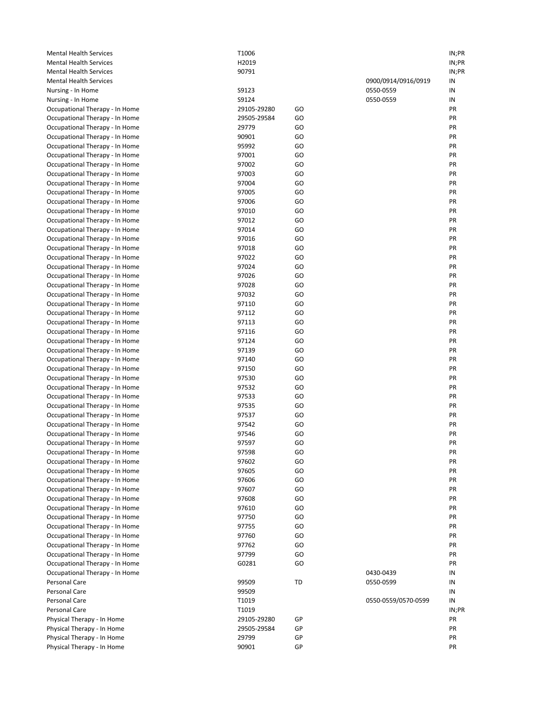| <b>Mental Health Services</b>                                    | T1006          |          |                     | IN;PR    |
|------------------------------------------------------------------|----------------|----------|---------------------|----------|
| <b>Mental Health Services</b>                                    | H2019          |          |                     | IN;PR    |
| <b>Mental Health Services</b>                                    | 90791          |          |                     | IN;PR    |
| <b>Mental Health Services</b>                                    |                |          | 0900/0914/0916/0919 | IN       |
| Nursing - In Home                                                | S9123          |          | 0550-0559           | IN       |
| Nursing - In Home                                                | S9124          |          | 0550-0559           | IN       |
| Occupational Therapy - In Home                                   | 29105-29280    | GO       |                     | PR       |
| Occupational Therapy - In Home                                   | 29505-29584    | GO       |                     | PR       |
| Occupational Therapy - In Home                                   | 29779          | GO       |                     | PR       |
| Occupational Therapy - In Home                                   | 90901          | GO       |                     | PR       |
| Occupational Therapy - In Home                                   | 95992          | GO       |                     | PR       |
| Occupational Therapy - In Home                                   | 97001          | GO       |                     | PR       |
| Occupational Therapy - In Home                                   | 97002          | GO       |                     | PR       |
| Occupational Therapy - In Home                                   | 97003          | GO       |                     | PR       |
| Occupational Therapy - In Home                                   | 97004          | GO       |                     | PR       |
| Occupational Therapy - In Home                                   | 97005          | GO       |                     | PR       |
| Occupational Therapy - In Home                                   | 97006          | GO       |                     | PR       |
| Occupational Therapy - In Home                                   | 97010          | GO       |                     | PR       |
| Occupational Therapy - In Home                                   | 97012          | GO       |                     | PR       |
| Occupational Therapy - In Home                                   | 97014          | GO       |                     | PR       |
| Occupational Therapy - In Home                                   | 97016          | GO       |                     | PR       |
| Occupational Therapy - In Home                                   | 97018          | GO       |                     | PR       |
| Occupational Therapy - In Home                                   | 97022          | GO       |                     | PR       |
| Occupational Therapy - In Home                                   | 97024          | GO       |                     | PR       |
| Occupational Therapy - In Home                                   | 97026          | GO       |                     | PR       |
| Occupational Therapy - In Home                                   | 97028          | GO       |                     | PR       |
| Occupational Therapy - In Home                                   | 97032          | GO       |                     | PR       |
| Occupational Therapy - In Home                                   | 97110          | GO       |                     | PR       |
| Occupational Therapy - In Home                                   | 97112          | GO       |                     | PR       |
| Occupational Therapy - In Home                                   | 97113          | GO       |                     | PR       |
| Occupational Therapy - In Home                                   | 97116          | GO       |                     | PR       |
| Occupational Therapy - In Home                                   | 97124<br>97139 | GO<br>GO |                     | PR<br>PR |
| Occupational Therapy - In Home                                   | 97140          | GO       |                     | PR       |
| Occupational Therapy - In Home                                   | 97150          | GO       |                     | PR       |
| Occupational Therapy - In Home                                   | 97530          | GO       |                     | PR       |
| Occupational Therapy - In Home<br>Occupational Therapy - In Home | 97532          | GO       |                     | PR       |
| Occupational Therapy - In Home                                   | 97533          | GO       |                     | PR       |
| Occupational Therapy - In Home                                   | 97535          | GO       |                     | PR       |
| Occupational Therapy - In Home                                   | 97537          | GO       |                     | PR       |
| Occupational Therapy - In Home                                   | 97542          | GO       |                     | PR       |
| Occupational Therapy - In Home                                   | 97546          | GO       |                     | PR       |
| Occupational Therapy - In Home                                   | 97597          | GO       |                     | PR       |
| Occupational Therapy - In Home                                   | 97598          | GO       |                     | PR       |
| Occupational Therapy - In Home                                   | 97602          | GO       |                     | PR       |
| Occupational Therapy - In Home                                   | 97605          | GO       |                     | PR       |
| Occupational Therapy - In Home                                   | 97606          | GO       |                     | PR       |
| Occupational Therapy - In Home                                   | 97607          | GO       |                     | PR       |
| Occupational Therapy - In Home                                   | 97608          | GO       |                     | PR       |
| Occupational Therapy - In Home                                   | 97610          | GO       |                     | PR       |
| Occupational Therapy - In Home                                   | 97750          | GO       |                     | PR       |
| Occupational Therapy - In Home                                   | 97755          | GO       |                     | PR       |
| Occupational Therapy - In Home                                   | 97760          | GO       |                     | PR       |
| Occupational Therapy - In Home                                   | 97762          | GO       |                     | PR       |
| Occupational Therapy - In Home                                   | 97799          | GO       |                     | PR       |
| Occupational Therapy - In Home                                   | G0281          | GO       |                     | PR       |
| Occupational Therapy - In Home                                   |                |          | 0430-0439           | IN       |
| Personal Care                                                    | 99509          | TD       | 0550-0599           | IN       |
| Personal Care                                                    | 99509          |          |                     | IN       |
| Personal Care                                                    | T1019          |          | 0550-0559/0570-0599 | IN       |
| Personal Care                                                    | T1019          |          |                     | IN;PR    |
| Physical Therapy - In Home                                       | 29105-29280    | GP       |                     | PR       |
| Physical Therapy - In Home                                       | 29505-29584    | GP       |                     | PR       |
| Physical Therapy - In Home                                       | 29799          | GP       |                     | PR       |
| Physical Therapy - In Home                                       | 90901          | GP       |                     | PR       |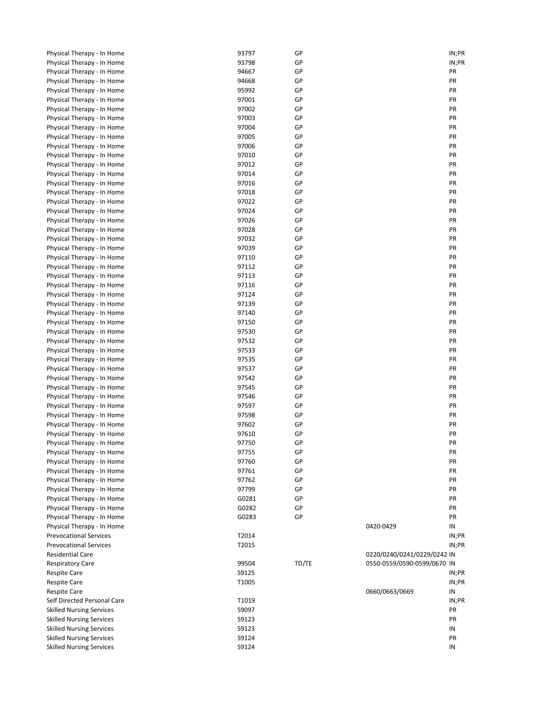| Physical Therapy - In Home                               | 93797          | GP       |                             | IN;PR       |
|----------------------------------------------------------|----------------|----------|-----------------------------|-------------|
| Physical Therapy - In Home                               | 93798          | GP       |                             | IN;PR       |
| Physical Therapy - In Home                               | 94667          | GP       |                             | PR          |
| Physical Therapy - In Home                               | 94668          | GP       |                             | PR          |
| Physical Therapy - In Home                               | 95992          | GP       |                             | PR          |
| Physical Therapy - In Home                               | 97001          | GP       |                             | PR          |
| Physical Therapy - In Home                               | 97002          | GP       |                             | PR          |
| Physical Therapy - In Home                               | 97003          | GP       |                             | PR          |
| Physical Therapy - In Home                               | 97004          | GP       |                             | PR          |
| Physical Therapy - In Home                               | 97005          | GP       |                             | PR          |
| Physical Therapy - In Home                               | 97006          | GP       |                             | PR          |
| Physical Therapy - In Home                               | 97010          | GP       |                             | PR          |
| Physical Therapy - In Home                               | 97012          | GP       |                             | PR          |
| Physical Therapy - In Home                               | 97014          | GP       |                             | PR          |
| Physical Therapy - In Home                               | 97016          | GP       |                             | PR          |
| Physical Therapy - In Home                               | 97018          | GP       |                             | PR          |
| Physical Therapy - In Home                               | 97022          | GP       |                             | PR          |
| Physical Therapy - In Home                               | 97024          | GP       |                             | PR          |
| Physical Therapy - In Home                               | 97026          | GP       |                             | PR          |
| Physical Therapy - In Home                               | 97028          | GP       |                             | PR          |
| Physical Therapy - In Home                               | 97032          | GP       |                             | PR          |
| Physical Therapy - In Home                               | 97039          | GP       |                             | PR          |
| Physical Therapy - In Home                               | 97110          | GP       |                             | PR          |
| Physical Therapy - In Home                               | 97112          | GP       |                             | PR<br>PR    |
| Physical Therapy - In Home                               | 97113          | GP<br>GP |                             | PR          |
| Physical Therapy - In Home                               | 97116<br>97124 | GP       |                             | PR          |
| Physical Therapy - In Home<br>Physical Therapy - In Home | 97139          | GP       |                             | PR          |
| Physical Therapy - In Home                               | 97140          | GP       |                             | PR          |
| Physical Therapy - In Home                               | 97150          | GP       |                             | PR          |
| Physical Therapy - In Home                               | 97530          | GP       |                             | PR          |
| Physical Therapy - In Home                               | 97532          | GP       |                             | PR          |
| Physical Therapy - In Home                               | 97533          | GP       |                             | PR          |
| Physical Therapy - In Home                               | 97535          | GP       |                             | PR          |
| Physical Therapy - In Home                               | 97537          | GP       |                             | PR          |
| Physical Therapy - In Home                               | 97542          | GP       |                             | PR          |
| Physical Therapy - In Home                               | 97545          | GP       |                             | PR          |
| Physical Therapy - In Home                               | 97546          | GP       |                             | PR          |
| Physical Therapy - In Home                               | 97597          | GP       |                             | PR          |
| Physical Therapy - In Home                               | 97598          | GP       |                             | PR          |
| Physical Therapy - In Home                               | 97602          | GP       |                             | PR          |
| Physical Therapy - In Home                               | 97610          | GP       |                             | PR          |
| Physical Therapy - In Home                               | 97750          | GP       |                             | PR          |
| Physical Therapy - In Home                               | 97755          | GP       |                             | PR          |
| Physical Therapy - In Home                               | 97760          | GP       |                             | PR          |
| Physical Therapy - In Home                               | 97761          | GP       |                             | PR          |
| Physical Therapy - In Home                               | 97762          | GP       |                             | PR          |
| Physical Therapy - In Home                               | 97799          | GP       |                             | PR          |
| Physical Therapy - In Home                               | G0281          | GP       |                             | PR          |
| Physical Therapy - In Home                               | G0282          | GP       |                             | PR          |
| Physical Therapy - In Home                               | G0283          | GP       |                             | PR          |
| Physical Therapy - In Home                               |                |          | 0420-0429                   | IN          |
| <b>Prevocational Services</b>                            | T2014          |          |                             | IN;PR       |
| <b>Prevocational Services</b>                            | T2015          |          |                             | IN;PR       |
| <b>Residential Care</b>                                  |                |          | 0220/0240/0241/0229/0242 IN |             |
| <b>Respiratory Care</b>                                  | 99504          | TD/TE    | 0550-0559/0590-0599/0670 IN |             |
| <b>Respite Care</b>                                      | S9125          |          |                             | IN;PR       |
| <b>Respite Care</b>                                      | T1005          |          |                             | IN;PR       |
| <b>Respite Care</b><br>Self Directed Personal Care       | T1019          |          | 0660/0663/0669              | IN          |
| <b>Skilled Nursing Services</b>                          | S9097          |          |                             | IN;PR<br>PR |
| <b>Skilled Nursing Services</b>                          | S9123          |          |                             | PR          |
| <b>Skilled Nursing Services</b>                          | S9123          |          |                             | IN          |
| <b>Skilled Nursing Services</b>                          | S9124          |          |                             | PR          |
| <b>Skilled Nursing Services</b>                          | S9124          |          |                             | IN          |
|                                                          |                |          |                             |             |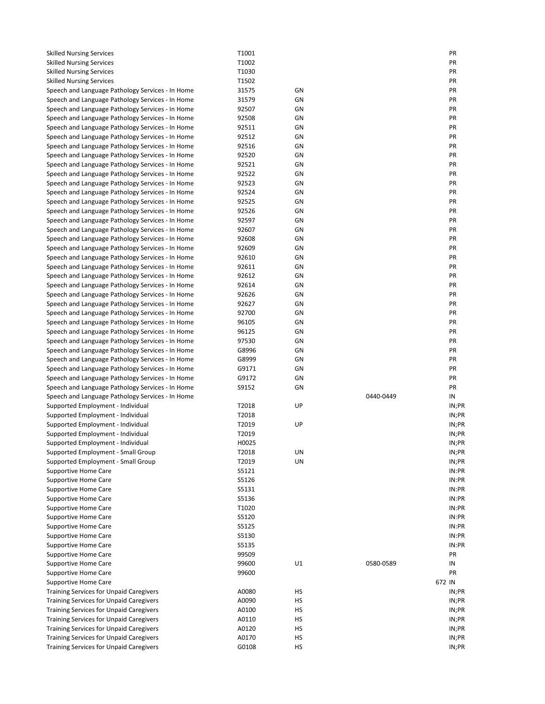| <b>Skilled Nursing Services</b>                                                                      | T1001          |          |           | PR             |
|------------------------------------------------------------------------------------------------------|----------------|----------|-----------|----------------|
| <b>Skilled Nursing Services</b>                                                                      | T1002          |          |           | PR             |
| <b>Skilled Nursing Services</b>                                                                      | T1030          |          |           | PR             |
| <b>Skilled Nursing Services</b>                                                                      | T1502          |          |           | PR             |
| Speech and Language Pathology Services - In Home                                                     | 31575          | GN       |           | PR             |
| Speech and Language Pathology Services - In Home                                                     | 31579          | GN       |           | PR             |
| Speech and Language Pathology Services - In Home                                                     | 92507          | GN       |           | PR             |
| Speech and Language Pathology Services - In Home                                                     | 92508          | GN       |           | PR             |
| Speech and Language Pathology Services - In Home                                                     | 92511          | GN       |           | PR             |
| Speech and Language Pathology Services - In Home                                                     | 92512          | GN       |           | PR             |
| Speech and Language Pathology Services - In Home                                                     | 92516          | GN       |           | PR             |
| Speech and Language Pathology Services - In Home                                                     | 92520          | GN       |           | PR             |
| Speech and Language Pathology Services - In Home                                                     | 92521          | GN       |           | PR             |
| Speech and Language Pathology Services - In Home                                                     | 92522          | GN       |           | PR             |
| Speech and Language Pathology Services - In Home                                                     | 92523          | GN       |           | PR             |
| Speech and Language Pathology Services - In Home                                                     | 92524          | GN       |           | PR             |
| Speech and Language Pathology Services - In Home                                                     | 92525<br>92526 | GN<br>GN |           | PR<br>PR       |
| Speech and Language Pathology Services - In Home<br>Speech and Language Pathology Services - In Home | 92597          | GN       |           | PR             |
| Speech and Language Pathology Services - In Home                                                     | 92607          | GN       |           | PR             |
| Speech and Language Pathology Services - In Home                                                     | 92608          | GN       |           | PR             |
| Speech and Language Pathology Services - In Home                                                     | 92609          | GN       |           | PR             |
| Speech and Language Pathology Services - In Home                                                     | 92610          | GN       |           | PR             |
| Speech and Language Pathology Services - In Home                                                     | 92611          | GN       |           | PR             |
| Speech and Language Pathology Services - In Home                                                     | 92612          | GN       |           | PR             |
| Speech and Language Pathology Services - In Home                                                     | 92614          | GN       |           | PR             |
| Speech and Language Pathology Services - In Home                                                     | 92626          | GN       |           | PR             |
| Speech and Language Pathology Services - In Home                                                     | 92627          | GN       |           | PR             |
| Speech and Language Pathology Services - In Home                                                     | 92700          | GN       |           | PR             |
| Speech and Language Pathology Services - In Home                                                     | 96105          | GN       |           | PR             |
| Speech and Language Pathology Services - In Home                                                     | 96125          | GN       |           | PR             |
| Speech and Language Pathology Services - In Home                                                     | 97530          | GN       |           | PR             |
| Speech and Language Pathology Services - In Home                                                     | G8996          | GN       |           | PR             |
| Speech and Language Pathology Services - In Home                                                     | G8999          | GN       |           | PR             |
| Speech and Language Pathology Services - In Home                                                     | G9171          | GN       |           | PR             |
| Speech and Language Pathology Services - In Home                                                     | G9172          | GN       |           | PR             |
| Speech and Language Pathology Services - In Home                                                     | S9152          | GN       |           | PR             |
| Speech and Language Pathology Services - In Home                                                     |                |          | 0440-0449 | IN             |
| Supported Employment - Individual                                                                    | T2018          | UP       |           | IN;PR          |
| Supported Employment - Individual                                                                    | T2018          |          |           | IN;PR          |
| Supported Employment - Individual                                                                    | T2019          | UP       |           | IN;PR          |
| Supported Employment - Individual                                                                    | T2019          |          |           | IN;PR          |
| Supported Employment - Individual                                                                    | H0025          |          |           | IN;PR          |
| Supported Employment - Small Group                                                                   | T2018          | UN       |           | IN;PR          |
| Supported Employment - Small Group                                                                   | T2019          | UN       |           | IN;PR          |
| Supportive Home Care                                                                                 | S5121          |          |           | IN:PR          |
| Supportive Home Care                                                                                 | S5126          |          |           | IN:PR          |
| Supportive Home Care                                                                                 | S5131          |          |           | IN:PR          |
| <b>Supportive Home Care</b>                                                                          | S5136          |          |           | IN:PR          |
| <b>Supportive Home Care</b>                                                                          | T1020<br>S5120 |          |           | IN:PR<br>IN:PR |
| Supportive Home Care<br>Supportive Home Care                                                         | S5125          |          |           | IN:PR          |
| Supportive Home Care                                                                                 | S5130          |          |           | IN:PR          |
| <b>Supportive Home Care</b>                                                                          | S5135          |          |           | IN:PR          |
| <b>Supportive Home Care</b>                                                                          | 99509          |          |           | PR             |
| <b>Supportive Home Care</b>                                                                          | 99600          | U1       | 0580-0589 | IN             |
| Supportive Home Care                                                                                 | 99600          |          |           | PR             |
| Supportive Home Care                                                                                 |                |          |           | 672 IN         |
| <b>Training Services for Unpaid Caregivers</b>                                                       | A0080          | HS       |           | IN;PR          |
| <b>Training Services for Unpaid Caregivers</b>                                                       | A0090          | НS       |           | IN;PR          |
| <b>Training Services for Unpaid Caregivers</b>                                                       | A0100          | HS       |           | IN;PR          |
| <b>Training Services for Unpaid Caregivers</b>                                                       | A0110          | HS       |           | IN;PR          |
| <b>Training Services for Unpaid Caregivers</b>                                                       | A0120          | HS       |           | IN;PR          |
| <b>Training Services for Unpaid Caregivers</b>                                                       | A0170          | HS       |           | IN;PR          |
| <b>Training Services for Unpaid Caregivers</b>                                                       | G0108          | HS       |           | IN;PR          |